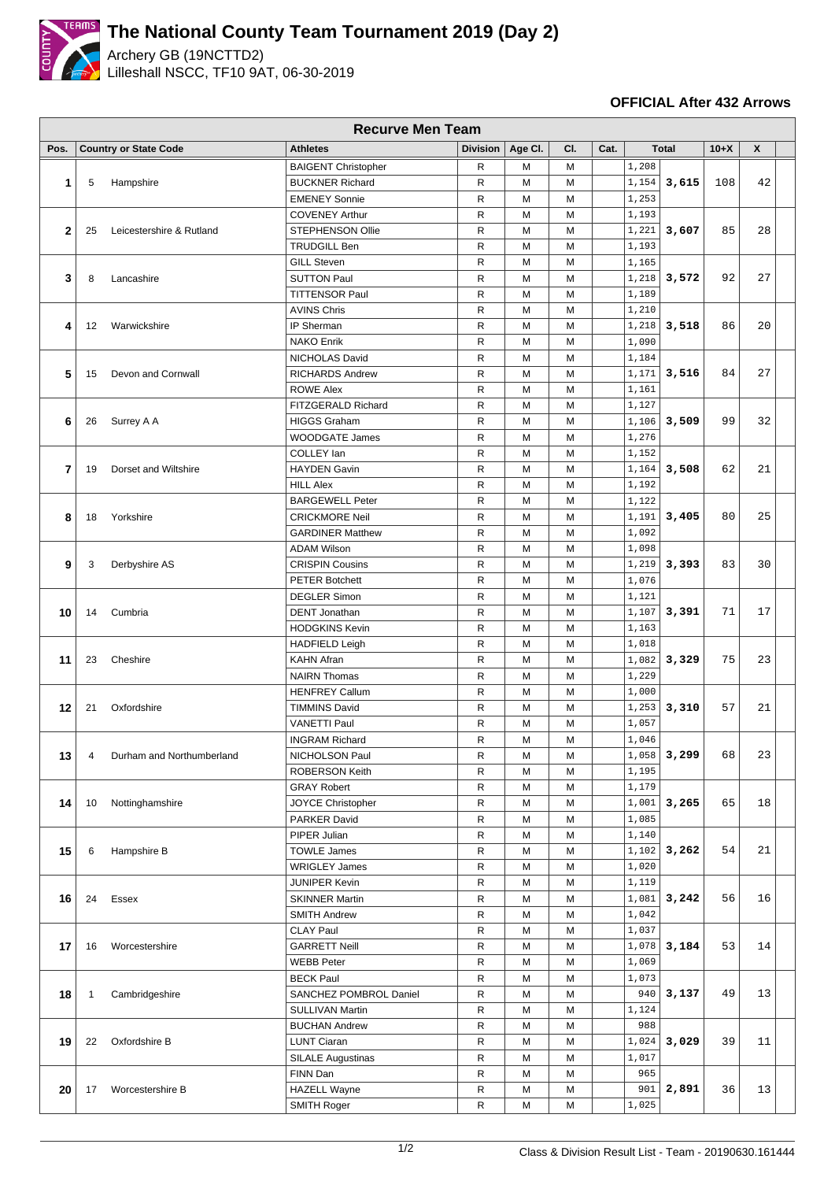

## **The National County Team Tournament 2019 (Day 2)**

Archery GB (19NCTTD2) Lilleshall NSCC, TF10 9AT, 06-30-2019

## **OFFICIAL After 432 Arrows**

|             | <b>Recurve Men Team</b> |                              |                            |                 |         |     |      |       |              |        |    |  |
|-------------|-------------------------|------------------------------|----------------------------|-----------------|---------|-----|------|-------|--------------|--------|----|--|
| Pos.        |                         | <b>Country or State Code</b> | <b>Athletes</b>            | <b>Division</b> | Age CI. | CI. | Cat. |       | <b>Total</b> | $10+X$ | X  |  |
|             |                         |                              | <b>BAIGENT Christopher</b> | R               | М       | м   |      | 1,208 |              |        |    |  |
| 1           | 5                       | Hampshire                    | <b>BUCKNER Richard</b>     | R               | M       | M   |      | 1,154 | 3,615        | 108    | 42 |  |
|             |                         |                              | <b>EMENEY Sonnie</b>       | R               | M       | M   |      | 1,253 |              |        |    |  |
| $\mathbf 2$ |                         |                              | <b>COVENEY Arthur</b>      | R               | м       | M   |      | 1,193 | 3,607        |        |    |  |
|             | 25                      | Leicestershire & Rutland     | STEPHENSON Ollie           | $\mathsf{R}$    | M       | M   |      | 1,221 |              | 85     | 28 |  |
|             |                         |                              | <b>TRUDGILL Ben</b>        | $\mathsf{R}$    | M       | M   |      | 1,193 |              |        |    |  |
|             |                         |                              | <b>GILL Steven</b>         | $\mathsf{R}$    | М       | M   |      | 1,165 | 3,572        |        |    |  |
| 3           | 8                       | Lancashire                   | <b>SUTTON Paul</b>         | R               | М       | M   |      | 1,218 |              | 92     | 27 |  |
|             |                         |                              | <b>TITTENSOR Paul</b>      | R               | м       | M   |      | 1,189 |              |        |    |  |
|             |                         |                              | <b>AVINS Chris</b>         | R               | М       | M   |      | 1,210 | 3,518        | 86     |    |  |
| 4           | 12                      | Warwickshire                 | IP Sherman                 | R               | М       | M   |      | 1,218 |              |        | 20 |  |
|             |                         |                              | <b>NAKO Enrik</b>          | R               | М       | M   |      | 1,090 |              |        |    |  |
|             |                         |                              | NICHOLAS David             | R               | М       | M   |      | 1,184 |              |        |    |  |
| 5           | 15                      | Devon and Cornwall           | <b>RICHARDS Andrew</b>     | R               | М       | M   |      | 1,171 | 3,516        | 84     | 27 |  |
|             |                         |                              | <b>ROWE Alex</b>           | $\mathsf{R}$    | М       | M   |      | 1,161 |              |        |    |  |
|             |                         |                              | FITZGERALD Richard         | $\mathsf{R}$    | М       | M   |      | 1,127 |              |        |    |  |
|             |                         |                              |                            |                 |         |     |      |       |              |        |    |  |
| 6           | 26                      | Surrey A A                   | <b>HIGGS Graham</b>        | $\mathsf{R}$    | М       | M   |      | 1,106 | 3,509        | 99     | 32 |  |
|             |                         |                              | <b>WOODGATE James</b>      | R               | м       | M   |      | 1,276 |              |        |    |  |
|             |                         | Dorset and Wiltshire         | COLLEY lan                 | R               | м       | M   |      | 1,152 |              |        |    |  |
| 7           | 19                      |                              | <b>HAYDEN Gavin</b>        | R               | м       | M   |      | 1,164 | 3,508        | 62     | 21 |  |
|             |                         |                              | <b>HILL Alex</b>           | $\mathsf{R}$    | M       | M   |      | 1,192 |              |        |    |  |
|             | 18                      | Yorkshire                    | <b>BARGEWELL Peter</b>     | R               | M       | M   |      | 1,122 | 3,405        | 80     | 25 |  |
| 8           |                         |                              | <b>CRICKMORE Neil</b>      | R               | М       | M   |      | 1,191 |              |        |    |  |
|             |                         |                              | <b>GARDINER Matthew</b>    | $\mathsf{R}$    | М       | M   |      | 1,092 |              |        |    |  |
|             | 3                       | Derbyshire AS                | <b>ADAM Wilson</b>         | $\mathsf{R}$    | М       | M   |      | 1,098 | 3,393        | 83     | 30 |  |
| 9           |                         |                              | <b>CRISPIN Cousins</b>     | $\mathsf{R}$    | М       | M   |      | 1,219 |              |        |    |  |
|             |                         |                              | <b>PETER Botchett</b>      | R               | M       | M   |      | 1,076 |              |        |    |  |
|             | 14                      | Cumbria                      | <b>DEGLER Simon</b>        | R               | М       | M   |      | 1,121 |              | 71     | 17 |  |
| 10          |                         |                              | <b>DENT</b> Jonathan       | $\mathsf{R}$    | M       | M   |      | 1,107 | 3,391        |        |    |  |
|             |                         |                              | <b>HODGKINS Kevin</b>      | R               | М       | M   |      | 1,163 |              |        |    |  |
|             | 23                      | Cheshire                     | <b>HADFIELD Leigh</b>      | R               | М       | M   |      | 1,018 | 3,329        | 75     |    |  |
| 11          |                         |                              | <b>KAHN Afran</b>          | R               | М       | M   |      | 1,082 |              |        | 23 |  |
|             |                         |                              | <b>NAIRN Thomas</b>        | $\mathsf{R}$    | M       | M   |      | 1,229 |              |        |    |  |
|             |                         |                              | <b>HENFREY Callum</b>      | R               | м       | М   |      | 1,000 |              |        |    |  |
| 12          | 21                      | Oxfordshire                  | <b>TIMMINS David</b>       | R               | M       | M   |      | 1,253 | 3,310        | 57     | 21 |  |
|             |                         |                              | <b>VANETTI Paul</b>        | R               | м       | M   |      | 1,057 |              |        |    |  |
|             |                         |                              | <b>INGRAM Richard</b>      | R               | M       | M   |      | 1,046 |              |        |    |  |
| 13          | 4                       | Durham and Northumberland    | NICHOLSON Paul             | R               | М       | M   |      | 1,058 | 3,299        | 68     | 23 |  |
|             |                         |                              | ROBERSON Keith             | ${\sf R}$       | М       | M   |      | 1,195 |              |        |    |  |
|             |                         |                              | <b>GRAY Robert</b>         | $\mathsf{R}$    | М       | M   |      | 1,179 |              |        |    |  |
|             |                         | Nottinghamshire              | JOYCE Christopher          | R               | М       | M   |      | 1,001 | 3,265        | 65     | 18 |  |
| 14          | 10                      |                              |                            |                 |         |     |      |       |              |        |    |  |
|             |                         |                              | PARKER David               | R               | М       | M   |      | 1,085 |              |        |    |  |
|             | 6                       | Hampshire B                  | PIPER Julian               | R               | М       | M   |      | 1,140 | 3,262        | 54     |    |  |
| 15          |                         |                              | <b>TOWLE James</b>         | R               | М       | M   |      | 1,102 |              |        | 21 |  |
|             |                         |                              | <b>WRIGLEY James</b>       | R               | М       | M   |      | 1,020 |              |        |    |  |
|             | 24                      | Essex                        | <b>JUNIPER Kevin</b>       | R               | М       | M   |      | 1,119 | 3,242        | 56     | 16 |  |
| 16          |                         |                              | <b>SKINNER Martin</b>      | R               | М       | M   |      | 1,081 |              |        |    |  |
|             |                         |                              | <b>SMITH Andrew</b>        | $\mathsf{R}$    | М       | M   |      | 1,042 |              |        |    |  |
| 17          | 16                      | Worcestershire               | <b>CLAY Paul</b>           | $\mathsf{R}$    | М       | M   |      | 1,037 |              |        |    |  |
|             |                         |                              | <b>GARRETT Neill</b>       | R               | М       | M   |      | 1,078 | 3,184        | 53     | 14 |  |
|             |                         |                              | <b>WEBB Peter</b>          | R               | М       | M   |      | 1,069 |              |        |    |  |
| 18          | $\mathbf{1}$            | Cambridgeshire               | <b>BECK Paul</b>           | R               | М       | M   |      | 1,073 | 3,137        | 49     |    |  |
|             |                         |                              | SANCHEZ POMBROL Daniel     | ${\sf R}$       | М       | M   |      | 940   |              |        | 13 |  |
|             |                         |                              | SULLIVAN Martin            | R               | М       | M   |      | 1,124 |              |        |    |  |
|             |                         |                              | <b>BUCHAN Andrew</b>       | R               | М       | M   |      | 988   |              |        |    |  |
| 19          | 22                      | Oxfordshire B                | <b>LUNT Ciaran</b>         | R               | М       | M   |      | 1,024 | 3,029        | 39     | 11 |  |
|             |                         |                              | <b>SILALE Augustinas</b>   | R               | М       | M   |      | 1,017 |              |        |    |  |
|             |                         |                              | FINN Dan                   | R               | М       | M   |      | 965   |              |        |    |  |
| 20          | 17                      | Worcestershire B             | <b>HAZELL Wayne</b>        | $\mathsf{R}$    | М       | M   |      | 901   | 2,891        | 36     | 13 |  |
|             |                         |                              | SMITH Roger                | $\mathsf{R}$    | М       | M   |      | 1,025 |              |        |    |  |